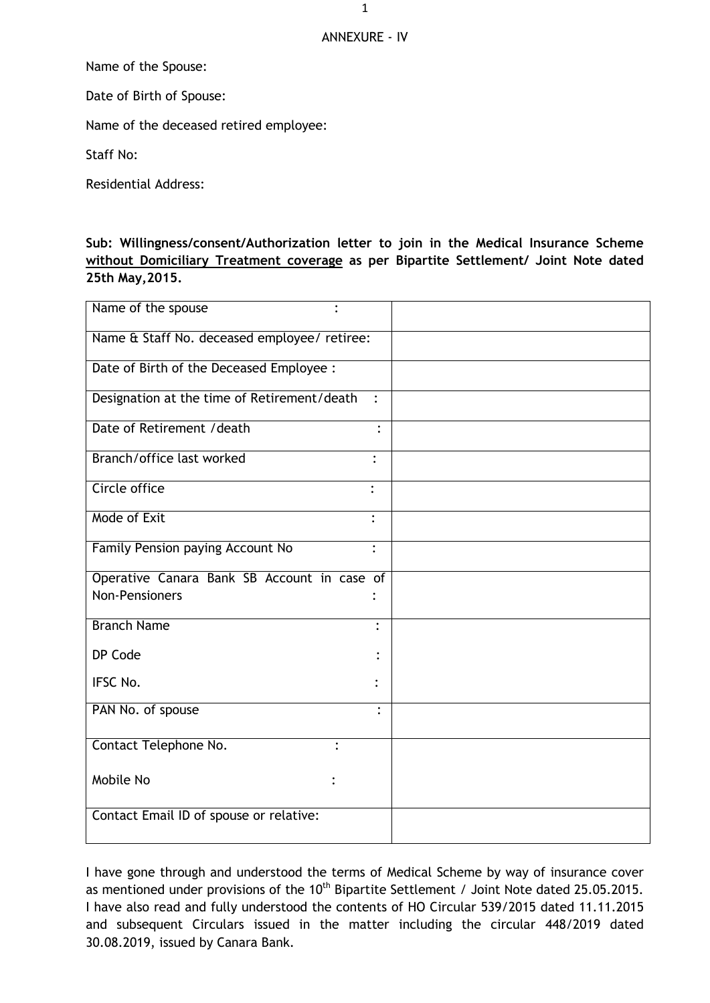## ANNEXURE - IV

Name of the Spouse:

Date of Birth of Spouse:

Name of the deceased retired employee:

Staff No:

Residential Address:

## **Sub: Willingness/consent/Authorization letter to join in the Medical Insurance Scheme without Domiciliary Treatment coverage as per Bipartite Settlement/ Joint Note dated 25th May,2015.**

| Name of the spouse<br>$\bullet$              |                |
|----------------------------------------------|----------------|
| Name & Staff No. deceased employee/ retiree: |                |
| Date of Birth of the Deceased Employee :     |                |
| Designation at the time of Retirement/death  | $\ddot{\cdot}$ |
| Date of Retirement / death                   | $\ddot{\cdot}$ |
| Branch/office last worked                    | $\ddot{\cdot}$ |
| Circle office                                | $\bullet$      |
| Mode of Exit                                 |                |
| Family Pension paying Account No             | $\ddot{\cdot}$ |
| Operative Canara Bank SB Account in case of  |                |
| <b>Non-Pensioners</b>                        |                |
| <b>Branch Name</b>                           | $\bullet$      |
| DP Code                                      |                |
| IFSC No.                                     |                |
| PAN No. of spouse                            | $\ddot{\cdot}$ |
| Contact Telephone No.                        |                |
| Mobile No                                    |                |
| Contact Email ID of spouse or relative:      |                |

I have gone through and understood the terms of Medical Scheme by way of insurance cover as mentioned under provisions of the 10<sup>th</sup> Bipartite Settlement / Joint Note dated 25.05.2015. I have also read and fully understood the contents of HO Circular 539/2015 dated 11.11.2015 and subsequent Circulars issued in the matter including the circular 448/2019 dated 30.08.2019, issued by Canara Bank.